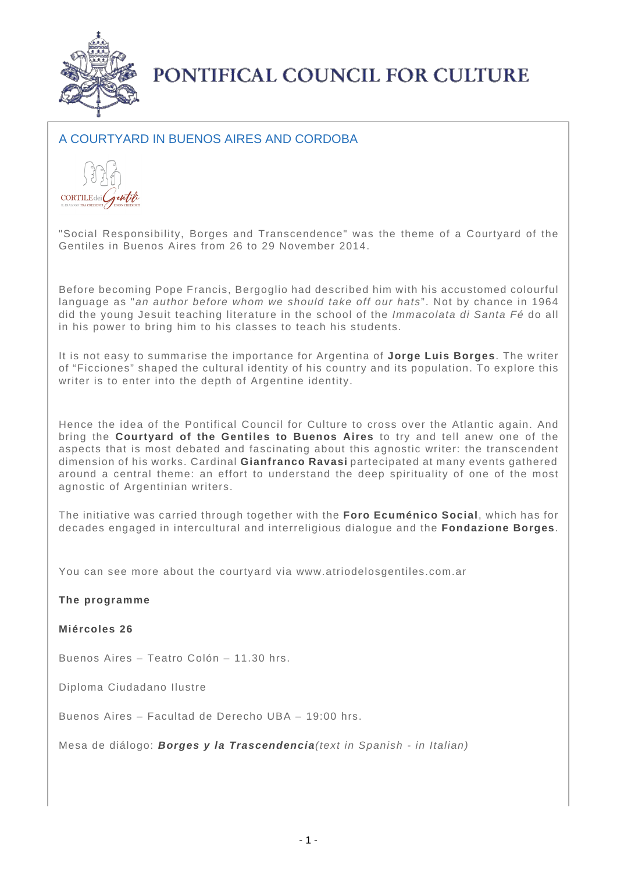

PONTIFICAL COUNCIL FOR CULTURE

## A COURTYARD IN BUENOS AIRES AND CORDOBA



"Social Responsibility, Borges and Transcendence" was the theme of a Courtyard of the Gentiles in Buenos Aires from 26 to 29 November 2014.

Before becoming Pope Francis, Bergoglio had described him with his accustomed colourful language as "an author before whom we should take off our hats". Not by chance in 1964 did the young Jesuit teaching literature in the school of the Immacolata di Santa Fé do all in his power to bring him to his classes to teach his students.

It is not easy to summarise the importance for Argentina of **Jorge Luis Borges**. The writer of "Ficciones" shaped the cultural identity of his country and its population. To explore this writer is to enter into the depth of Argentine identity.

Hence the idea of the Pontifical Council for Culture to cross over the Atlantic again. And bring the **Courtyard of the Gentiles to Buenos Aires** to try and tell anew one of the aspects that is most debated and fascinating about this agnostic writer: the transcendent dimension of his works. Cardinal **Gianfranco Ravasi** partecipated at many events gathered around a central theme: an effort to understand the deep spirituality of one of the most agnostic of Argentinian writers.

The initiative was carried through together with the **Foro Ecuménico Social**, which has for decades engaged in intercultural and interreligious dialogue and the **Fondazione Borges**.

You can see more about the courtyard via www.atriodelosgentiles.com.ar

**The programme**

**Miércoles 26** 

Buenos Aires – Teatro Colón – 11.30 hrs.

Diploma Ciudadano Ilustre

Buenos Aires – Facultad de Derecho UBA – 19:00 hrs.

Mesa de diálogo: **Borges y la Trascendencia**(text in Spanish - in Italian)